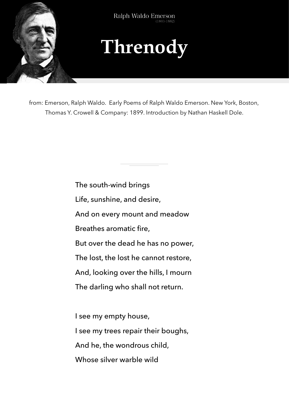

Ralph Waldo Emerson  $(1803 - 1882)$ 



from: Emerson, Ralph Waldo. Early Poems of Ralph Waldo Emerson. New York, Boston, Thomas Y. Crowell & Company: 1899. Introduction by Nathan Haskell Dole.

> The south-wind brings Life, sunshine, and desire, And on every mount and meadow Breathes aromatic fire, But over the dead he has no power, The lost, the lost he cannot restore, And, looking over the hills, I mourn The darling who shall not return. I see my empty house, I see my trees repair their boughs,

And he, the wondrous child,

Whose silver warble wild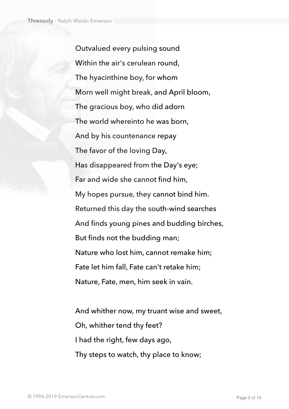Outvalued every pulsing sound Within the air's cerulean round, The hyacinthine boy, for whom Morn well might break, and April bloom, The gracious boy, who did adorn The world whereinto he was born, And by his countenance repay The favor of the loving Day, Has disappeared from the Day's eye; Far and wide she cannot find him, My hopes pursue, they cannot bind him. Returned this day the south-wind searches And finds young pines and budding birches, But finds not the budding man; Nature who lost him, cannot remake him; Fate let him fall, Fate can't retake him; Nature, Fate, men, him seek in vain.

And whither now, my truant wise and sweet, Oh, whither tend thy feet? I had the right, few days ago, Thy steps to watch, thy place to know;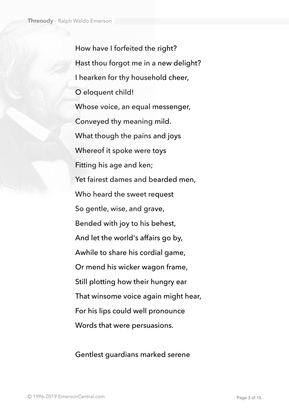How have I forfeited the right? Hast thou forgot me in a new delight? I hearken for thy household cheer, O eloquent child! Whose voice, an equal messenger, Conveyed thy meaning mild. What though the pains and joys Whereof it spoke were toys Fitting his age and ken; Yet fairest dames and bearded men, Who heard the sweet request So gentle, wise, and grave, Bended with joy to his behest, And let the world's affairs go by, Awhile to share his cordial game, Or mend his wicker wagon frame, Still plotting how their hungry ear That winsome voice again might hear, For his lips could well pronounce Words that were persuasions.

Gentlest guardians marked serene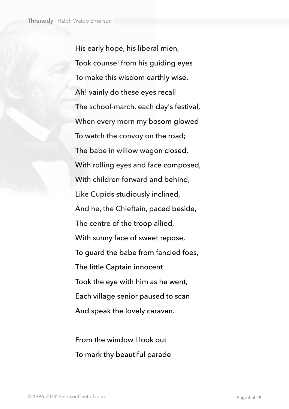His early hope, his liberal mien, Took counsel from his guiding eyes To make this wisdom earthly wise. Ah! vainly do these eyes recall The school-march, each day's festival, When every morn my bosom glowed To watch the convoy on the road; The babe in willow wagon closed, With rolling eyes and face composed, With children forward and behind, Like Cupids studiously inclined, And he, the Chieftain, paced beside, The centre of the troop allied, With sunny face of sweet repose, To guard the babe from fancied foes, The little Captain innocent Took the eye with him as he went, Each village senior paused to scan And speak the lovely caravan.

From the window I look out To mark thy beautiful parade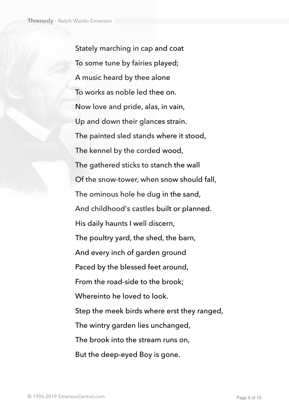Stately marching in cap and coat To some tune by fairies played; A music heard by thee alone To works as noble led thee on. Now love and pride, alas, in vain, Up and down their glances strain. The painted sled stands where it stood, The kennel by the corded wood, The gathered sticks to stanch the wall Of the snow-tower, when snow should fall, The ominous hole he dug in the sand, And childhood's castles built or planned. His daily haunts I well discern, The poultry yard, the shed, the barn, And every inch of garden ground Paced by the blessed feet around, From the road-side to the brook; Whereinto he loved to look. Step the meek birds where erst they ranged, The wintry garden lies unchanged, The brook into the stream runs on, But the deep-eyed Boy is gone.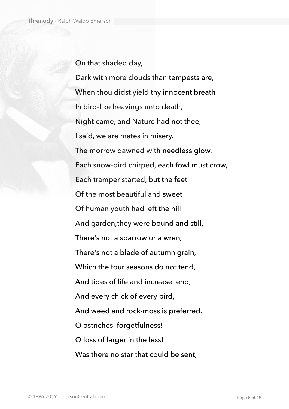On that shaded day,

Dark with more clouds than tempests are, When thou didst yield thy innocent breath In bird-like heavings unto death, Night came, and Nature had not thee, I said, we are mates in misery. The morrow dawned with needless glow, Each snow-bird chirped, each fowl must crow, Each tramper started, but the feet Of the most beautiful and sweet Of human youth had left the hill And garden,they were bound and still, There's not a sparrow or a wren, There's not a blade of autumn grain, Which the four seasons do not tend, And tides of life and increase lend, And every chick of every bird, And weed and rock-moss is preferred. O ostriches' forgetfulness! O loss of larger in the less! Was there no star that could be sent.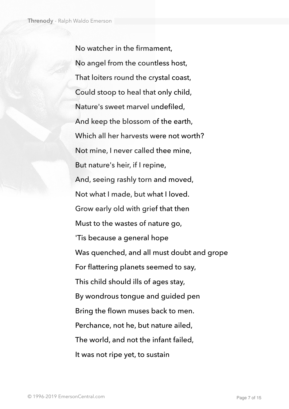No watcher in the firmament, No angel from the countless host, That loiters round the crystal coast, Could stoop to heal that only child, Nature's sweet marvel undefiled, And keep the blossom of the earth, Which all her harvests were not worth? Not mine, I never called thee mine, But nature's heir, if I repine, And, seeing rashly torn and moved, Not what I made, but what I loved. Grow early old with grief that then Must to the wastes of nature go, 'Tis because a general hope Was quenched, and all must doubt and grope For flattering planets seemed to say, This child should ills of ages stay, By wondrous tongue and guided pen Bring the flown muses back to men. Perchance, not he, but nature ailed, The world, and not the infant failed, It was not ripe yet, to sustain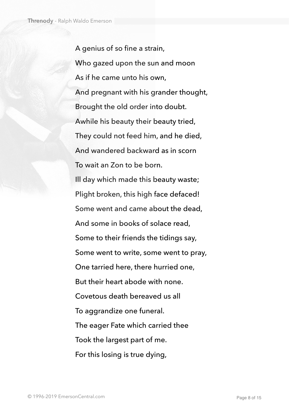A genius of so fine a strain, Who gazed upon the sun and moon As if he came unto his own, And pregnant with his grander thought, Brought the old order into doubt. Awhile his beauty their beauty tried, They could not feed him, and he died, And wandered backward as in scorn To wait an Ζon to be born. Ill day which made this beauty waste; Plight broken, this high face defaced! Some went and came about the dead, And some in books of solace read, Some to their friends the tidings say, Some went to write, some went to pray, One tarried here, there hurried one, But their heart abode with none. Covetous death bereaved us all To aggrandize one funeral. The eager Fate which carried thee Took the largest part of me. For this losing is true dying,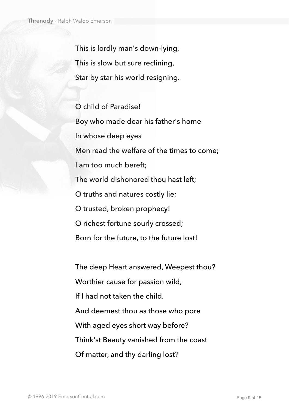This is lordly man's down-lying, This is slow but sure reclining, Star by star his world resigning.

O child of Paradise! Boy who made dear his father's home In whose deep eyes Men read the welfare of the times to come; I am too much bereft; The world dishonored thou hast left; O truths and natures costly lie; O trusted, broken prophecy! O richest fortune sourly crossed; Born for the future, to the future lost!

The deep Heart answered, Weepest thou? Worthier cause for passion wild, If I had not taken the child. And deemest thou as those who pore With aged eyes short way before? Think'st Beauty vanished from the coast Of matter, and thy darling lost?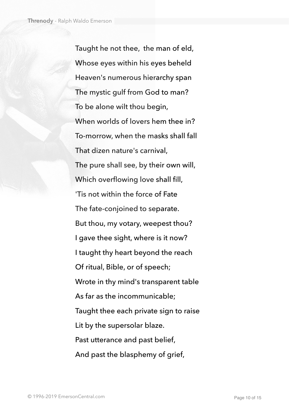Taught he not thee, the man of eld, Whose eyes within his eyes beheld Heaven's numerous hierarchy span The mystic gulf from God to man? To be alone wilt thou begin, When worlds of lovers hem thee in? To-morrow, when the masks shall fall That dizen nature's carnival, The pure shall see, by their own will, Which overflowing love shall fill, 'Tis not within the force of Fate The fate-conjoined to separate. But thou, my votary, weepest thou? I gave thee sight, where is it now? I taught thy heart beyond the reach Of ritual, Bible, or of speech; Wrote in thy mind's transparent table As far as the incommunicable; Taught thee each private sign to raise Lit by the supersolar blaze. Past utterance and past belief, And past the blasphemy of grief,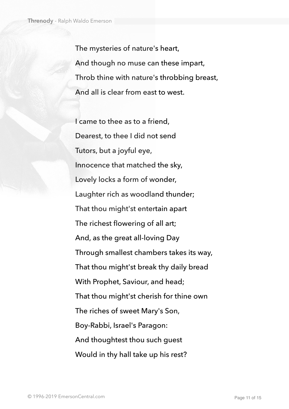The mysteries of nature's heart, And though no muse can these impart, Throb thine with nature's throbbing breast, And all is clear from east to west.

I came to thee as to a friend, Dearest, to thee I did not send Tutors, but a joyful eye, Innocence that matched the sky, Lovely locks a form of wonder, Laughter rich as woodland thunder; That thou might'st entertain apart The richest flowering of all art; And, as the great all-loving Day Through smallest chambers takes its way, That thou might'st break thy daily bread With Prophet, Saviour, and head; That thou might'st cherish for thine own The riches of sweet Mary's Son, Boy-Rabbi, Israel's Paragon: And thoughtest thou such guest Would in thy hall take up his rest?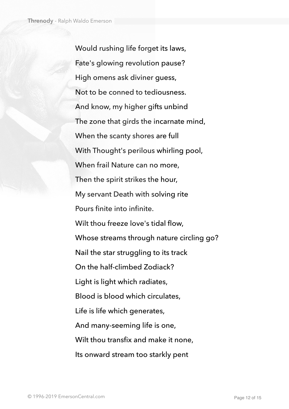Would rushing life forget its laws, Fate's glowing revolution pause? High omens ask diviner guess, Not to be conned to tediousness. And know, my higher gifts unbind The zone that girds the incarnate mind, When the scanty shores are full With Thought's perilous whirling pool, When frail Nature can no more, Then the spirit strikes the hour, My servant Death with solving rite Pours finite into infinite. Wilt thou freeze love's tidal flow, Whose streams through nature circling go? Nail the star struggling to its track On the half-climbed Zodiack? Light is light which radiates, Blood is blood which circulates, Life is life which generates, And many-seeming life is one, Wilt thou transfix and make it none, Its onward stream too starkly pent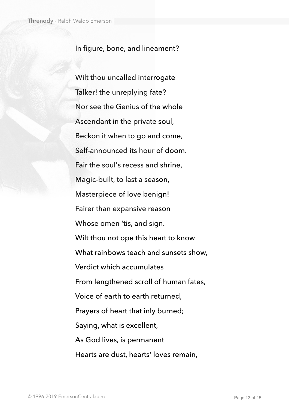## In figure, bone, and lineament?

Wilt thou uncalled interrogate Talker! the unreplying fate? Nor see the Genius of the whole Ascendant in the private soul, Beckon it when to go and come, Self-announced its hour of doom. Fair the soul's recess and shrine, Magic-built, to last a season, Masterpiece of love benign! Fairer than expansive reason Whose omen 'tis, and sign. Wilt thou not ope this heart to know What rainbows teach and sunsets show, Verdict which accumulates From lengthened scroll of human fates, Voice of earth to earth returned, Prayers of heart that inly burned; Saying, what is excellent, As God lives, is permanent Hearts are dust, hearts' loves remain,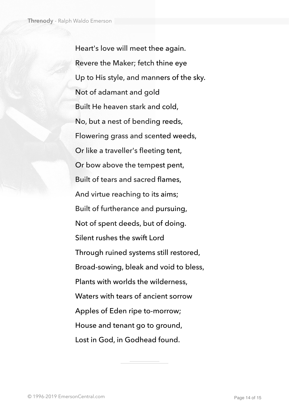Heart's love will meet thee again. Revere the Maker; fetch thine eye Up to His style, and manners of the sky. Not of adamant and gold Built He heaven stark and cold, No, but a nest of bending reeds, Flowering grass and scented weeds, Or like a traveller's fleeting tent, Or bow above the tempest pent, Built of tears and sacred flames, And virtue reaching to its aims; Built of furtherance and pursuing, Not of spent deeds, but of doing. Silent rushes the swift Lord Through ruined systems still restored, Broad-sowing, bleak and void to bless, Plants with worlds the wilderness, Waters with tears of ancient sorrow Apples of Eden ripe to-morrow; House and tenant go to ground, Lost in God, in Godhead found.